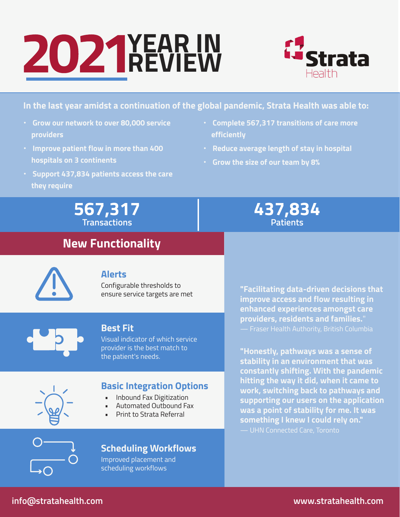# **YEAR IN REVIEW**



#### **In the last year amidst a continuation of the global pandemic, Strata Health was able to:**

- **• Grow our network to over 80,000 service providers**
- **• Improve patient flow in more than 400 hospitals on 3 continents**
- **• Support 437,834 patients access the care they require**
- **• Complete 567,317 transitions of care more efficiently**
- **• Reduce average length of stay in hospital**
- **• Grow the size of our team by 8%**

**567,317 Transactions**

### **New Functionality**

### **437,834 Patients**

#### **Alerts**

Configurable thresholds to ensure service targets are met



#### **Best Fit**

Visual indicator of which service provider is the best match to the patient's needs.

#### **Basic Integration Options**

- Inbound Fax Digitization
- Automated Outbound Fax
- Print to Strata Referral

**"Facilitating data-driven decisions that improve access and flow resulting in enhanced experiences amongst care providers, residents and families.**" — Fraser Health Authority, British Columbia

**"Honestly, pathways was a sense of stability in an environment that was constantly shifting. With the pandemic hitting the way it did, when it came to work, switching back to pathways and supporting our users on the application was a point of stability for me. It was something I knew I could rely on."** — UHN Connected Care, Toronto



#### **Scheduling Workflows**

Improved placement and scheduling workflows

#### **info@stratahealth.com www.stratahealth.com**